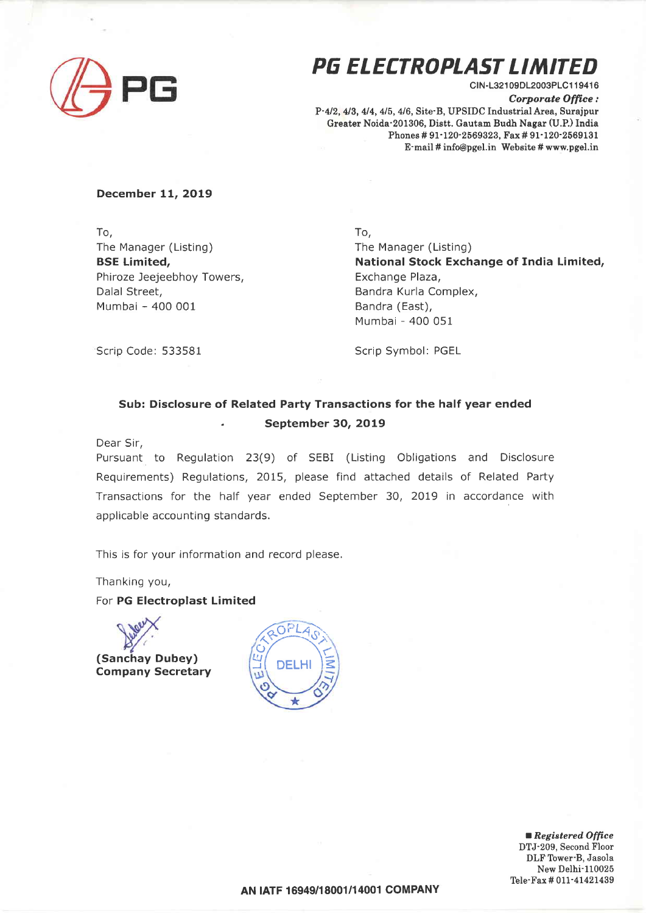

# PG ELECTROPLAST LIMITED

CIN-L32109DL2003PLC119416 Corporate Office: P-4/2, 4/3, 4/4, 4/5, 4/6, Site-B, UPSIDC Industrial Area, Surajpur Greater Noida'201306, Distt. Gautam Budh Nagar (U.P.) India Phones # 91-120-2569323, Fax # 91-120-2569131 E-mail # info@pgel.in Website # www.pgel.in

## December 11, 2019

To, The Manager (Listing) BSE Limited, Phiroze Jeejeebhoy Towers, Dalal Street, Mumbai - 400 001

To,

The Manager (Listing) National Stock Exchange of India Limited, Exchange Plaza, Bandra Kurla Complex, Bandra (East), Mumbai - 400 051

Scrip Code: 533581

Scrip Symbol: PGEL

## Sub: Disclosure of Related Party Transactions for the half year ended . September 30, 2019

Dear Sir,

Pursuant to Regulation 23(9) of SEBI (Listing Obligations and Disclosure Requirements) Regulations, 2015, please find attached details of Related Party Transactions for the half year ended September 30, 2OL9 in accordance with applicable accounting standards.

This is for your information and record please.

Thanking you,

For PG Electroplast Limited

(Sanchay Dubey) Company Secretary



Registered Office DTJ-209, Second Floor DLF Tower-B, Jasola New Delhi-110025 Tele-Fax # 011-41421439

AN IATF 16949/18001/14001 COMPANY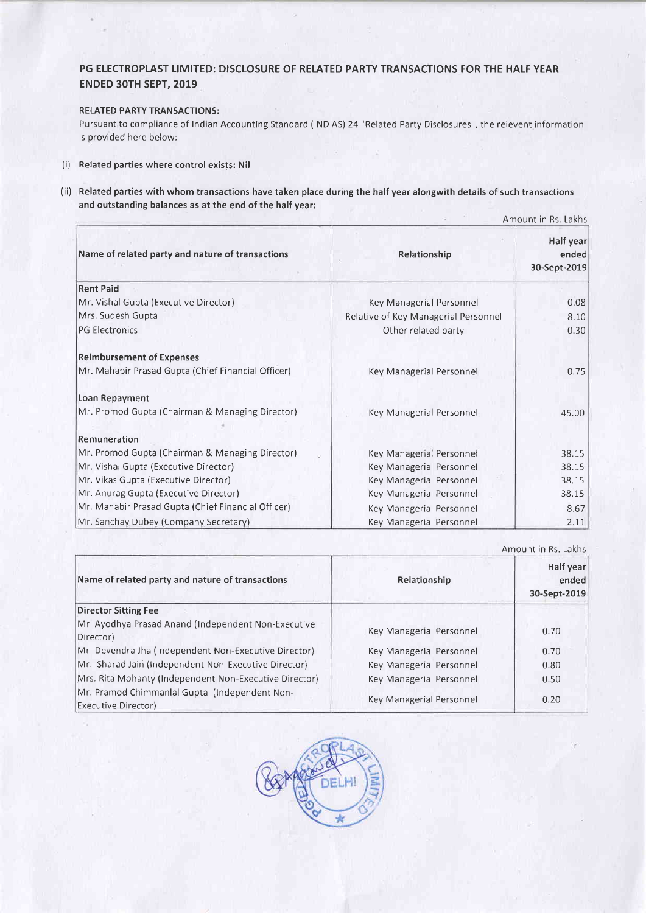## PG ELECTROPLAST LIMITED: DISCLOSURE OF RELATED PARTY TRANSACTIONS FOR THE HALF YEAR ENDED 3OTH SEPT, 2019

### RELATED PARTY TRANSACTIONS:

Pursuant to compliance of Indian Accounting Standard (IND AS) 24 "Related Party Disclosures", the relevent information is provided here below:

- (i) Related parties where control exists: Nil
- (ii) Related parties with whom transactions have taken place during the half year alongwith details of such transactions and outstanding balances as at the end of the half year:

|                                                    | Amount in Rs. Lakhs                  |                                    |
|----------------------------------------------------|--------------------------------------|------------------------------------|
| Name of related party and nature of transactions   | Relationship                         | Half year<br>ended<br>30-Sept-2019 |
| <b>Rent Paid</b>                                   |                                      |                                    |
| Mr. Vishal Gupta (Executive Director)              | Key Managerial Personnel             | 0.08                               |
| Mrs. Sudesh Gupta                                  | Relative of Key Managerial Personnel | 8.10                               |
| <b>PG Electronics</b>                              | Other related party                  | 0.30                               |
| <b>Reimbursement of Expenses</b>                   |                                      |                                    |
| Mr. Mahabir Prasad Gupta (Chief Financial Officer) | Key Managerial Personnel             | 0.75                               |
| Loan Repayment                                     |                                      |                                    |
| Mr. Promod Gupta (Chairman & Managing Director)    | Key Managerial Personnel             | 45.00                              |
| Remuneration                                       |                                      |                                    |
| Mr. Promod Gupta (Chairman & Managing Director)    | Key Managerial Personnel             | 38.15                              |
| Mr. Vishal Gupta (Executive Director)              | Key Managerial Personnel             | 38.15                              |
| Mr. Vikas Gupta (Executive Director)               | Key Managerial Personnel             | 38.15                              |
| Mr. Anurag Gupta (Executive Director)              | Key Managerial Personnel             | 38.15                              |
| Mr. Mahabir Prasad Gupta (Chief Financial Officer) | Key Managerial Personnel             | 8.67                               |
| Mr. Sanchay Dubey (Company Secretary)              | Key Managerial Personnel             | 2.11                               |

|                                                                      | Amount in Rs. Lakhs      |                                    |
|----------------------------------------------------------------------|--------------------------|------------------------------------|
| Name of related party and nature of transactions                     | Relationship             | Half year<br>ended<br>30-Sept-2019 |
| <b>Director Sitting Fee</b>                                          |                          |                                    |
| Mr. Ayodhya Prasad Anand (Independent Non-Executive<br>Director)     | Key Managerial Personnel | 0.70                               |
| Mr. Devendra Jha (Independent Non-Executive Director)                | Key Managerial Personnel | 0.70                               |
| Mr. Sharad Jain (Independent Non-Executive Director)                 | Key Managerial Personnel | 0.80                               |
| Mrs. Rita Mohanty (Independent Non-Executive Director)               | Key Managerial Personnel | 0.50                               |
| Mr. Pramod Chimmanlal Gupta (Independent Non-<br>Executive Director) | Key Managerial Personnel | 0.20                               |

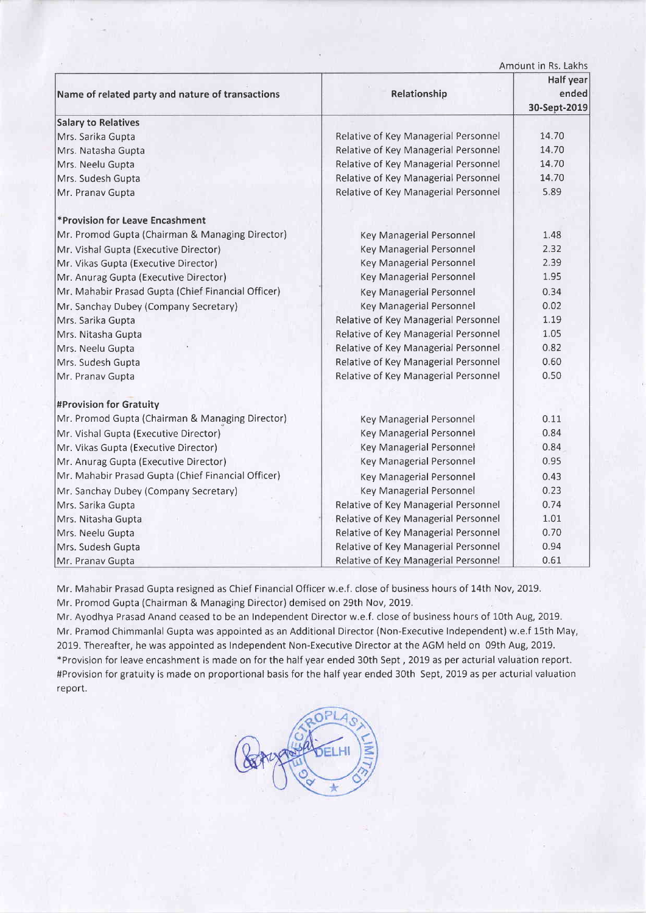|                                                    |                                      | Amount in Rs. Lakhs                |
|----------------------------------------------------|--------------------------------------|------------------------------------|
| Name of related party and nature of transactions   | Relationship                         | Half year<br>ended<br>30-Sept-2019 |
| <b>Salary to Relatives</b>                         |                                      |                                    |
| Mrs. Sarika Gupta                                  | Relative of Key Managerial Personnel | 14.70                              |
| Mrs. Natasha Gupta                                 | Relative of Key Managerial Personnel | 14.70                              |
| Mrs. Neelu Gupta                                   | Relative of Key Managerial Personnel | 14.70                              |
| Mrs. Sudesh Gupta                                  | Relative of Key Managerial Personnel | 14.70                              |
| Mr. Pranav Gupta                                   | Relative of Key Managerial Personnel | 5.89                               |
| *Provision for Leave Encashment                    |                                      |                                    |
| Mr. Promod Gupta (Chairman & Managing Director)    | <b>Key Managerial Personnel</b>      | 1.48                               |
| Mr. Vishal Gupta (Executive Director)              | <b>Key Managerial Personnel</b>      | 2.32                               |
| Mr. Vikas Gupta (Executive Director)               | <b>Key Managerial Personnel</b>      | 2.39                               |
| Mr. Anurag Gupta (Executive Director)              | Key Managerial Personnel             | 1.95                               |
| Mr. Mahabir Prasad Gupta (Chief Financial Officer) | Key Managerial Personnel             | 0.34                               |
| Mr. Sanchay Dubey (Company Secretary)              | Key Managerial Personnel             | 0.02                               |
| Mrs. Sarika Gupta                                  | Relative of Key Managerial Personnel | 1.19                               |
| Mrs. Nitasha Gupta                                 | Relative of Key Managerial Personnel | 1.05                               |
| Mrs. Neelu Gupta                                   | Relative of Key Managerial Personnel | 0.82                               |
| Mrs. Sudesh Gupta                                  | Relative of Key Managerial Personnel | 0.60                               |
| Mr. Pranav Gupta                                   | Relative of Key Managerial Personnel | 0.50                               |
| #Provision for Gratuity                            |                                      |                                    |
| Mr. Promod Gupta (Chairman & Managing Director)    | Key Managerial Personnel             | 0.11                               |
| Mr. Vishal Gupta (Executive Director)              | Key Managerial Personnel             | 0.84                               |
| Mr. Vikas Gupta (Executive Director)               | Key Managerial Personnel             | 0.84                               |
| Mr. Anurag Gupta (Executive Director)              | Key Managerial Personnel             | 0.95                               |
| Mr. Mahabir Prasad Gupta (Chief Financial Officer) | <b>Key Managerial Personnel</b>      | 0.43                               |
| Mr. Sanchay Dubey (Company Secretary)              | Key Managerial Personnel             | 0.23                               |
| Mrs. Sarika Gupta                                  | Relative of Key Managerial Personnel | 0.74                               |
| Mrs. Nitasha Gupta                                 | Relative of Key Managerial Personnel | 1.01                               |
| Mrs. Neelu Gupta                                   | Relative of Key Managerial Personnel | 0.70                               |
| Mrs. Sudesh Gupta                                  | Relative of Key Managerial Personnel | 0.94                               |
| Mr. Pranav Gupta                                   | Relative of Key Managerial Personnel | 0.61                               |

Mr. Mahabir Prasad Gupta resigned as Chief Financial Officer w.e.f. close of business hours of 14th Nov, 2019.

Mr. Promod Gupta (Chairman & Managing Director) demised on 29th Nov, 2019.

Mr. Ayodhya Prasad Anand ceased to be an Independent Director w.e.f. close of business hours of 10th Aug, 2019. Mr. Pramod Chimmanlal Gupta was appointed as an Additional Director (Non-Executive Independent) w,e,f 15th May, 2019. Thereafter, he was appointed as Independent Non-Executive Director at the AGM held on 09th Aug, 2019. \*Provision for leave encashment is made on for the half year ended 30th Sept, 2019 as per acturial valuation report. #Provision for gratuity is made on proportional basis for the half year ended 3Oth Sept, 2019 as per acturial valuation reporl.